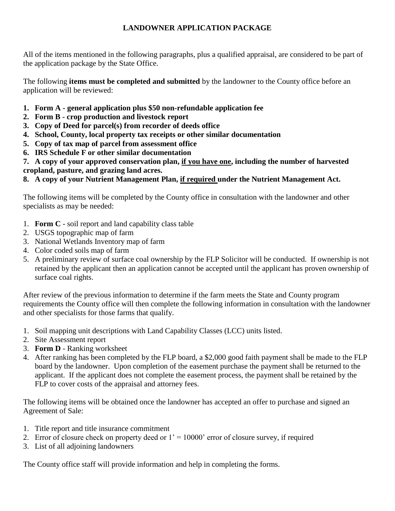### **LANDOWNER APPLICATION PACKAGE**

All of the items mentioned in the following paragraphs, plus a qualified appraisal, are considered to be part of the application package by the State Office.

The following **items must be completed and submitted** by the landowner to the County office before an application will be reviewed:

- **1. Form A - general application plus \$50 non-refundable application fee**
- **2. Form B - crop production and livestock report**
- **3. Copy of Deed for parcel(s) from recorder of deeds office**
- **4. School, County, local property tax receipts or other similar documentation**
- **5. Copy of tax map of parcel from assessment office**
- **6. IRS Schedule F or other similar documentation**

**7. A copy of your approved conservation plan, if you have one, including the number of harvested cropland, pasture, and grazing land acres.**

**8. A copy of your Nutrient Management Plan, if required under the Nutrient Management Act.**

The following items will be completed by the County office in consultation with the landowner and other specialists as may be needed:

- 1. **Form C** soil report and land capability class table
- 2. USGS topographic map of farm
- 3. National Wetlands Inventory map of farm
- 4. Color coded soils map of farm
- 5. A preliminary review of surface coal ownership by the FLP Solicitor will be conducted. If ownership is not retained by the applicant then an application cannot be accepted until the applicant has proven ownership of surface coal rights.

After review of the previous information to determine if the farm meets the State and County program requirements the County office will then complete the following information in consultation with the landowner and other specialists for those farms that qualify.

- 1. Soil mapping unit descriptions with Land Capability Classes (LCC) units listed.
- 2. Site Assessment report
- 3. **Form D** Ranking worksheet
- 4. After ranking has been completed by the FLP board, a \$2,000 good faith payment shall be made to the FLP board by the landowner. Upon completion of the easement purchase the payment shall be returned to the applicant. If the applicant does not complete the easement process, the payment shall be retained by the FLP to cover costs of the appraisal and attorney fees.

The following items will be obtained once the landowner has accepted an offer to purchase and signed an Agreement of Sale:

- 1. Title report and title insurance commitment
- 2. Error of closure check on property deed or  $1' = 10000'$  error of closure survey, if required
- 3. List of all adjoining landowners

The County office staff will provide information and help in completing the forms.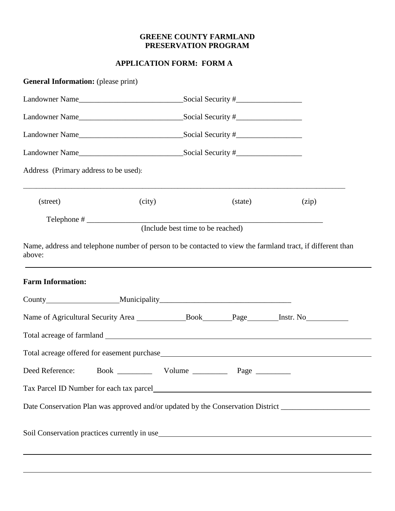### **GREENE COUNTY FARMLAND PRESERVATION PROGRAM**

### **APPLICATION FORM: FORM A**

| <b>General Information:</b> (please print) |        |                                   |         |                                                                                                                   |
|--------------------------------------------|--------|-----------------------------------|---------|-------------------------------------------------------------------------------------------------------------------|
|                                            |        |                                   |         |                                                                                                                   |
|                                            |        |                                   |         |                                                                                                                   |
|                                            |        |                                   |         |                                                                                                                   |
|                                            |        |                                   |         |                                                                                                                   |
| Address (Primary address to be used):      |        |                                   |         |                                                                                                                   |
| (street)                                   | (city) |                                   | (state) | (zip)                                                                                                             |
|                                            |        | (Include best time to be reached) |         |                                                                                                                   |
| above:<br><b>Farm Information:</b>         |        |                                   |         |                                                                                                                   |
|                                            |        |                                   |         |                                                                                                                   |
|                                            |        |                                   |         |                                                                                                                   |
|                                            |        |                                   |         |                                                                                                                   |
|                                            |        |                                   |         |                                                                                                                   |
| Deed Reference:                            |        |                                   |         |                                                                                                                   |
|                                            |        |                                   |         |                                                                                                                   |
|                                            |        |                                   |         | Date Conservation Plan was approved and/or updated by the Conservation District _____________________________     |
|                                            |        |                                   |         | Soil Conservation practices currently in use https://www.assett.com/www.assett.com/www.assett.com/www.assett.com/ |
|                                            |        |                                   |         |                                                                                                                   |
|                                            |        |                                   |         |                                                                                                                   |

i<br>L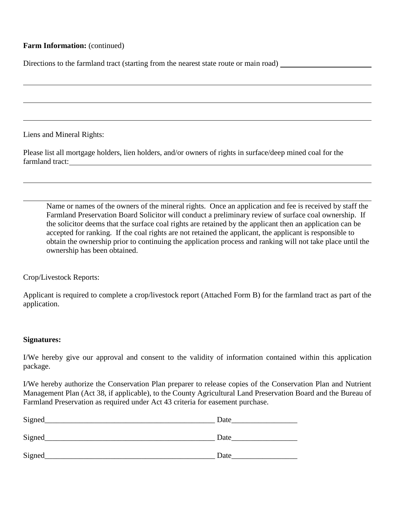### **Farm Information:** (continued)

Directions to the farmland tract (starting from the nearest state route or main road) \_\_\_\_\_\_\_\_\_\_\_\_\_\_\_\_\_\_\_\_\_\_\_\_

Liens and Mineral Rights:

Please list all mortgage holders, lien holders, and/or owners of rights in surface/deep mined coal for the farmland tract:

Name or names of the owners of the mineral rights. Once an application and fee is received by staff the Farmland Preservation Board Solicitor will conduct a preliminary review of surface coal ownership. If the solicitor deems that the surface coal rights are retained by the applicant then an application can be accepted for ranking. If the coal rights are not retained the applicant, the applicant is responsible to obtain the ownership prior to continuing the application process and ranking will not take place until the ownership has been obtained.

Crop/Livestock Reports:

Applicant is required to complete a crop/livestock report (Attached Form B) for the farmland tract as part of the application.

#### **Signatures:**

I/We hereby give our approval and consent to the validity of information contained within this application package.

I/We hereby authorize the Conservation Plan preparer to release copies of the Conservation Plan and Nutrient Management Plan (Act 38, if applicable), to the County Agricultural Land Preservation Board and the Bureau of Farmland Preservation as required under Act 43 criteria for easement purchase.

| Signed | Date |
|--------|------|
| Signed | Date |
| Signed | Date |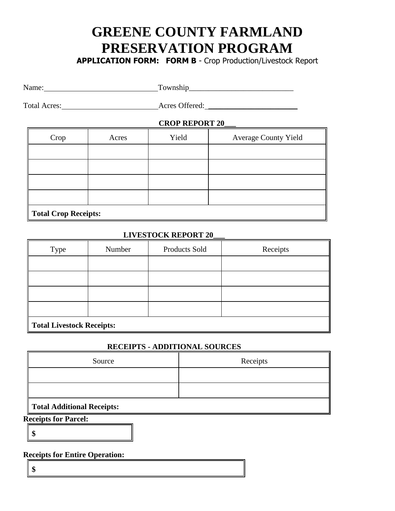# **GREENE COUNTY FARMLAND PRESERVATION PROGRAM**

**APPLICATION FORM: FORM B** - Crop Production/Livestock Report

| Name: | Township |
|-------|----------|
|       |          |

Total Acres: Acres Offered: \_\_\_\_\_\_\_\_\_\_\_\_\_\_\_\_\_\_\_\_\_\_\_

### **CROP REPORT 20\_\_\_**

| Crop                 | Acres | Yield | <b>Average County Yield</b> |  |  |  |  |
|----------------------|-------|-------|-----------------------------|--|--|--|--|
|                      |       |       |                             |  |  |  |  |
|                      |       |       |                             |  |  |  |  |
|                      |       |       |                             |  |  |  |  |
|                      |       |       |                             |  |  |  |  |
| Total Crop Receipts: |       |       |                             |  |  |  |  |

### **LIVESTOCK REPORT 20\_\_\_**

| <b>Type</b>                      | Number | Products Sold | Receipts |  |  |  |  |
|----------------------------------|--------|---------------|----------|--|--|--|--|
|                                  |        |               |          |  |  |  |  |
|                                  |        |               |          |  |  |  |  |
|                                  |        |               |          |  |  |  |  |
|                                  |        |               |          |  |  |  |  |
| <b>Total Livestock Receipts:</b> |        |               |          |  |  |  |  |

#### **RECEIPTS - ADDITIONAL SOURCES**

| Source                     | Receipts |  |  |  |  |  |  |
|----------------------------|----------|--|--|--|--|--|--|
|                            |          |  |  |  |  |  |  |
|                            |          |  |  |  |  |  |  |
| Total Additional Receipts: |          |  |  |  |  |  |  |

**Receipts for Parcel:**

**\$**

**Receipts for Entire Operation:**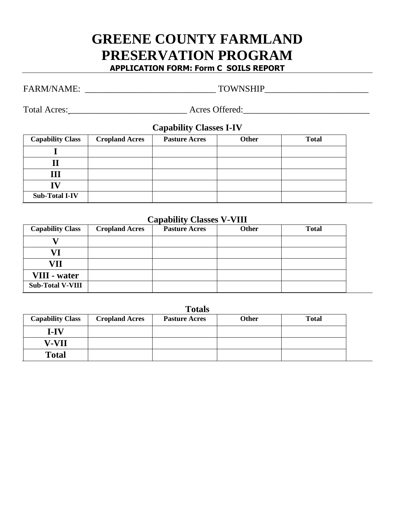# **GREENE COUNTY FARMLAND PRESERVATION PROGRAM APPLICATION FORM: Form C SOILS REPORT**

# FARM/NAME: \_\_\_\_\_\_\_\_\_\_\_\_\_\_\_\_\_\_\_\_\_\_\_\_\_\_\_\_\_ TOWNSHIP\_\_\_\_\_\_\_\_\_\_\_\_\_\_\_\_\_\_\_\_\_\_\_

Total Acres: \_\_\_\_\_\_\_\_\_\_\_\_\_\_\_\_\_\_\_\_\_\_\_\_\_\_ Acres Offered:\_\_\_\_\_\_\_\_\_\_\_\_\_\_\_\_\_\_\_\_\_\_\_\_\_\_\_\_

**Capability Classes I-IV**

| <b>Capability Class</b> | <b>Cropland Acres</b> | <b>Pasture Acres</b> | <b>Other</b> | <b>Total</b> |
|-------------------------|-----------------------|----------------------|--------------|--------------|
|                         |                       |                      |              |              |
|                         |                       |                      |              |              |
| Ш                       |                       |                      |              |              |
|                         |                       |                      |              |              |
| <b>Sub-Total I-IV</b>   |                       |                      |              |              |

## **Capability Classes V-VIII**

| <b>Capability Class</b> | <b>Cropland Acres</b> | <b>Pasture Acres</b> | <b>Other</b> | <b>Total</b> |
|-------------------------|-----------------------|----------------------|--------------|--------------|
|                         |                       |                      |              |              |
|                         |                       |                      |              |              |
| VII                     |                       |                      |              |              |
| VIII - water            |                       |                      |              |              |
| <b>Sub-Total V-VIII</b> |                       |                      |              |              |

| 'otal |
|-------|
|-------|

| <b>Capability Class</b> | <b>Cropland Acres</b> | <b>Pasture Acres</b> | Other | <b>Total</b> |
|-------------------------|-----------------------|----------------------|-------|--------------|
| $I-IV$                  |                       |                      |       |              |
| V-VII                   |                       |                      |       |              |
| <b>Total</b>            |                       |                      |       |              |